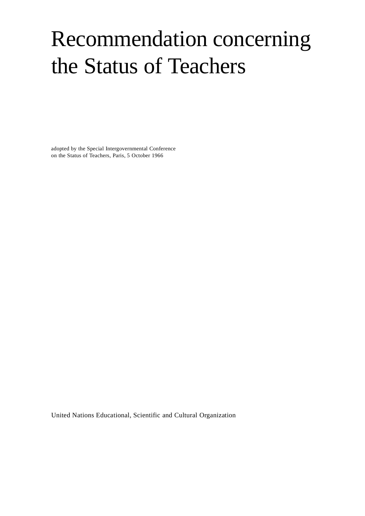# Recommendation concerning the Status of Teachers

adopted by the Special Intergovernmental Conference on the Status of Teachers, Paris, 5 October 1966

United Nations Educational, Scientific and Cultural Organization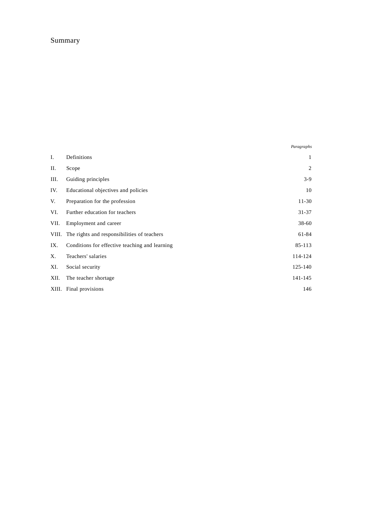# <span id="page-1-0"></span>Summary

|       |                                                | Paragraphs |
|-------|------------------------------------------------|------------|
| I.    | Definitions                                    | 1          |
| II.   | Scope                                          | 2          |
| Ш.    | Guiding principles                             | $3-9$      |
| IV.   | Educational objectives and policies            | 10         |
| V.    | Preparation for the profession                 | $11-30$    |
| VI.   | Further education for teachers                 | $31 - 37$  |
| VII.  | Employment and career                          | $38-60$    |
| VIII. | The rights and responsibilities of teachers    | 61-84      |
| IX.   | Conditions for effective teaching and learning | 85-113     |
| Х.    | Teachers' salaries                             | 114-124    |
| XI.   | Social security                                | 125-140    |
| XII.  | The teacher shortage.                          | 141-145    |
|       | XIII. Final provisions                         | 146        |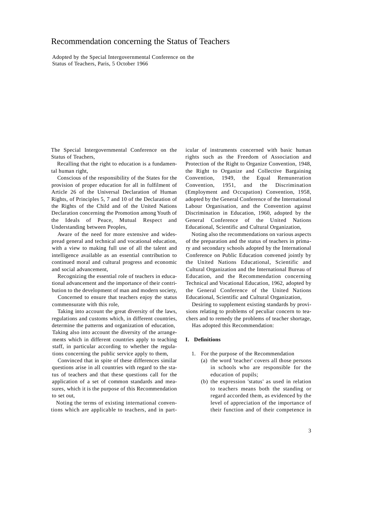# <span id="page-2-0"></span>Recommendation concerning the Status of Teachers

Adopted by the Special Intergovernmental Conference on the Status of Teachers, Paris, 5 October 1966

The Special Intergovernmental Conference on the Status of Teachers,

Recalling that the right to education is a fundamental human right,

Conscious of the responsibility of the States for the provision of proper education for all in fulfilment of Article 26 of the Universal Declaration of Human Rights, of Principles 5, 7 and 10 of the Declaration of the Rights of the Child and of the United Nations Declaration concerning the Promotion among Youth of the Ideals of Peace, Mutual Respect and Understanding between Peoples,

Aware of the need for more extensive and widespread general and technical and vocational education, with a view to making full use of all the talent and intelligence available as an essential contribution to continued moral and cultural progress and economic and social advancement,

Recognizing the essential role of teachers in educational advancement and the importance of their contribution to the development of man and modern society,

Concerned to ensure that teachers enjoy the status commensurate with this role,

Taking into account the great diversity of the laws, regulations and customs which, in different countries, determine the patterns and organization of education, Taking also into account the diversity of the arrangements which in different countries apply to teaching staff, in particular according to whether the regulations concerning the public service apply to them,

Convinced that in spite of these differences similar questions arise in all countries with regard to the status of teachers and that these questions call for the application of a set of common standards and measures, which it is the purpose of this Recommendation to set out,

Noting the terms of existing international conventions which are applicable to teachers, and in particular of instruments concerned with basic human rights such as the Freedom of Association and Protection of the Right to Organize Convention, 1948, the Right to Organize and Collective Bargaining Convention, 1949, the Equal Remuneration Convention, 1951, and the Discrimination (Employment and Occupation) Convention, 1958, adopted by the General Conference of the International Labour Organisation, and the Convention against Discrimination in Education, 1960, adopted by the General Conference of the United Nations Educational, Scientific and Cultural Organization,

Noting also the recommendations on various aspects of the preparation and the status of teachers in primary and secondary schools adopted by the International Conference on Public Education convened jointly by the United Nations Educational, Scientific and Cultural Organization and the International Bureau of Education, and the Recommendation concerning Technical and Vocational Education, 1962, adopted by the General Conference of the United Nations Educational, Scientific and Cultural Organization,

Desiring to supplement existing standards by provisions relating to problems of peculiar concern to teachers and to remedy the problems of teacher shortage, Has adopted this Recommendation:

**I.** Definitions

- 1. For the purpose of the Recommendation
	- (a) the word 'teacher' covers all those persons in schools who are responsible for the education of pupils;
	- $(b)$  the expression 'status' as used in relation to teachers means both the standing or regard accorded them, as evidenced by the level of appreciation of the importance of their function and of their competence in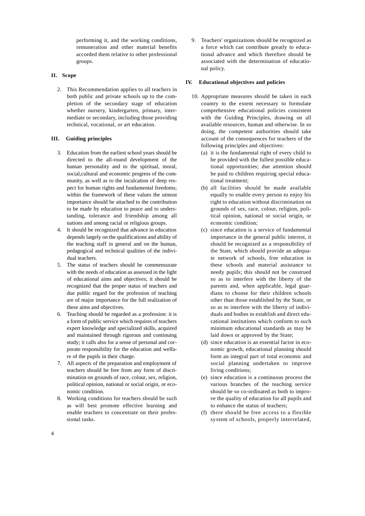<span id="page-3-0"></span>performing it, and the working conditions, remuneration and other material benefits accorded them relative to other professional groups.

# **II. Scope**

2. This Recommendation applies to all teachers in both public and private schools up to the completion of the secondary stage of education whether nursery, kindergarten, primary, intermediate or secondary, including those providing technical, vocational, or art education.

# **III.** Guiding principles

- 3. Education from the earliest school years should be directed to the all-round development of the human personality and to the spiritual, moral, social,cultural and economic progress of the community, as well as to the inculcation of deep respect for human rights and fundamental freedoms; within the framework of these values the utmost importance should be attached to the contribution to be made by education to peace and to understanding, tolerance and friendship among all nations and among racial or religious groups.
- 4. It should be recognized that advance in education depends largely on the qualifications and ability of the teaching staff in general and on the human, pedagogical and technical qualities of the individual teachers.
- 5. The status of teachers should be commensurate with the needs of education as assessed in the light of educational aims and objectives; it should be recognized that the proper status of teachers and due public regard for the profession of teaching are of major importance for the full realization of these aims and objectives.
- 6. Teaching should be regarded as a profession: it is a form of public service which requires of teachers expert knowledge and specialized skills, acquired and maintained through rigorous and continuing study; it calls also for a sense of personal and corporate responsibility for the education and welfare of the pupils in their charge.
- 7. All aspects of the preparation and employment of teachers should be free from any form of discrimination on grounds of race, colour, sex, religion, political opinion, national or social origin, or economic condition.
- 8. Working conditions for teachers should be such as will best promote effective learning and enable teachers to concentrate on their professional tasks.

9. Teachers' organizations should be recognized as a force which can contribute greatly to educational advance and which therefore should be associated with the determination of educational policy.

# **I V. Educational objectives and policies**

- 10. Appropriate measures should be taken in each country to the extent necessary to formulate comprehensive educational policies consistent with the Guiding Principles, drawing on all available resources, human and otherwise. In so doing, the competent authorities should take account of the consequences for teachers of the following principles and objectives:
	- (a) it is the fundamental right of every child to be provided with the fullest possible educational opportunities; due attention should be paid to children requiring special educational treatment;
	- $(b)$  all facilities should be made available equally to enable every person to enjoy his right to education without discrimination on grounds of sex, race, colour, religion, political opinion, national or social origin, or economic condition;
	- (c) since education is a service of fundamental importance in the general public interest, it should be recognized as a responsibility of the State, which should provide an adequate network of schools, free education in these schools and material assistance to needy pupils; this should not be construed so as to interfere with the liberty of the parents and, when applicable, legal guardians to choose for their children schools other than those established by the State, or so as to interfere with the liberty of individuals and bodies to establish and direct educational institutions which conform to such minimum educational standards as may be laid down or approved by the State;
	- (d) since education is an essential factor in economic growth, educational planning should form an integral part of total economic and social planning undertaken to improve living conditions;
	- (e) since education is a continuous process the various branches of the teaching service should be so co-ordinated as both to improve the quality of education for all pupils and to enhance the status of teachers;
	- (f) there should be free access to a flexible system of schools, properly interrelated,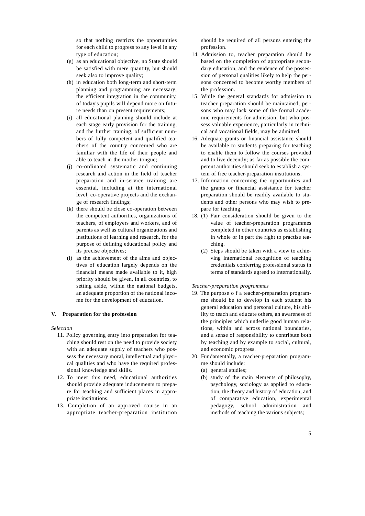<span id="page-4-0"></span>so that nothing restricts the opportunities for each child to progress to any level in any type of education;

- (g) as an educational objective, no State should be satisfied with mere quantity, but should seek also to improve quality;
- $(h)$  in education both long-term and short-term planning and programming are necessary; the efficient integration in the community, of today's pupils will depend more on future needs than on present requirements;
- (i) all educational planning should include at each stage early provision for the training, and the further training, of sufficient numbers of fully competent and qualified teachers of the country concerned who are familiar with the life of their people and able to teach in the mother tongue;
- (j) co-ordinated systematic and continuing research and action in the field of teacher preparation and in-service training are essential, including at the international level, co-operative projects and the exchange of research findings;
- $(k)$  there should be close co-operation between the competent authorities, organizations of teachers, of employers and workers, and of parents as well as cultural organizations and institutions of learning and research, for the purpose of defining educational policy and its precise objectives;
- $(l)$  as the achievement of the aims and objectives of education largely depends on the financial means made available to it, high priority should be given, in all countries, to setting aside, within the national budgets, an adequate proportion of the national income for the development of education.

# **V.** Preparation for the profession

#### *S e l e c t i o n*

- 11. Policy governing entry into preparation for teaching should rest on the need to provide society with an adequate supply of teachers who possess the necessary moral, intellectual and physical qualities and who have the required professional knowledge and skills.
- 12. To meet this need, educational authorities should provide adequate inducements to prepare for teaching and sufficient places in appropriate institutions.
- 13. Completion of an approved course in an appropriate teacher-preparation institution

should be required of all persons entering the profession.

- 14. Admission to, teacher preparation should be based on the completion of appropriate secondary education, and the evidence of the possession of personal qualities likely to help the persons concerned to become worthy members of the profession.
- 15. While the general standards for admission to teacher preparation should be maintained, persons who may lack some of the formal academic requirements for admission, but who possess valuable experience, particularly in technical and vocational fields, may be admitted.
- 16. A dequate grants or financial assistance should be available to students preparing for teaching to enable them to follow the courses provided and to live decently; as far as possible the competent authorities should seek to establish a system of free teacher-preparation institutions.
- 17. Information concerning the opportunities and the grants or financial assistance for teacher preparation should be readily available to students and other persons who may wish to prepare for teaching.
- 18. (1) Fair consideration should be given to the value of teacher-preparation programmes completed in other countries as establishing in whole or in part the right to practise teaching.
	- (2) Steps should be taken with a view to achieving international recognition of teaching credentials conferring professional status in terms of standards agreed to internationally.

#### *Te a ch e r- p rep a ration progra m m e s*

- 19. The purpose o f a teacher-preparation programme should be to develop in each student his general education and personal culture, his ability to teach and educate others, an awareness of the principles which underlie good human relations, within and across national boundaries, and a sense of responsibility to contribute both by teaching and by example to social, cultural, and economic progress.
- 20. Fundamentally, a teacher-preparation programme should include:
	- (a) general studies;
	- (b) study of the main elements of philosophy, psychology, sociology as applied to education, the theory and history of education, and of comparative education, experimental pedagogy, school administration and methods of teaching the various subjects;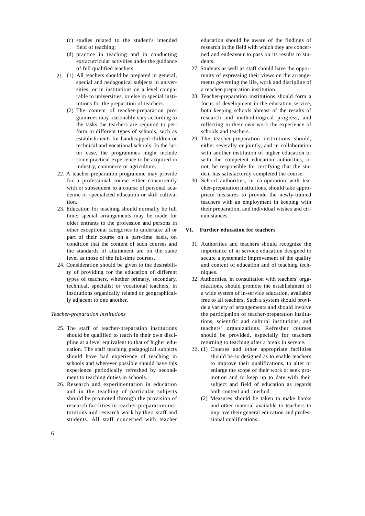- <span id="page-5-0"></span>(c) studies related to the student's intended field of teaching;
- (d) practice in teaching and in conducting extracurricular activities under the guidance of full qualified teachers.
- 21. (1) All teachers should be prepared in general, special and pedagogical subjects in universities, or in institutions on a level comparable to universities, or else in special institutions for the preparition of teachers.
	- $(2)$  The content of teacher-preparation programmes may reasonably vary according to the tasks the teachers are required to perform in different types of schools, such as establishments for handicapped children or technical and vocational schools. In the latter case, the programmes might include some practical experience to be acquired in industry, commerce or agriculture.
- 22. A teacher-preparation programme may provide for a professional course either concurrently with or subsequent to a course of personal academic or specialized education or skill cultivation.
- 23. Education for teaching should normally be full time; special arrangements may be made for older entrants to the profession and persons in other exceptional categories to undertake all or part of their course on a part-time basis, on condition that the content of such courses and the standards of attainment are on the same level as those of the full-time courses.
- 24. Consideration should be given to the desirability of providing for the education of different types of teachers, whether primary, secondary, technical, specialist or vocational teachers, in institutions organically related or geographically adjacent to one another.

#### *Te a ch e r- p rep a ration institutions*

- 25. The staff of teacher-preparation institutions should be qualified to teach in their own discipline at a level equivalent to that of higher education. The staff teaching pedagogical subjects should have had experience of teaching in schools and wherever possible should have this experience periodically refreshed by secondment to teaching duties in schools.
- 26. Research and experimentation in education and in the teaching of particular subjects should be promoted through the provision of research facilities in teacher-preparation institutions and research work by their staff and students. All staff concerned with teacher

education should be aware of the findings of research in the field with which they are concerned and endeavour to pass on its results to students.

- 27. Students as well as staff should have the opportunity of expressing their views on the arrangements governing the life, work and discipline of a teacher-preparation institution.
- 28. Teacher-preparation institutions should form a focus of development in the education service, both keeping schools abreast of the results of research and methodological progress, and reflecting in their own work the experience of schools and teachers.
- 29. The teacher-preparation institutions should, either severally or jointly, and in collaboration with another institution of higher education or with the competent education authorities, or not, be responsible for certifying that the student has satisfactorily completed the course.
- 30. School authorities, in co-operation with teacher-preparation institutions, should take appropriate measures to provide the newly-trained teachers with an employment in keeping with their preparation, and individual wishes and circumstances

# **VI.** Further education for teachers

- 31. Authorities and teachers should recognize the importance of in service education designed to secure a systematic improvement of the quality and content of education and of teaching techniques.
- 32. Authorities, in consultation with teachers' organizations, should promote the establishment of a wide system of in-service education, available free to all teachers. Such a system should provide a variety of arrangements and should involve the participation of teacher-preparation institutions, scientific and cultural institutions, and teachers' organizations. Refresher courses should be provided, especially for teachers returning to teaching after a break in service.
- 33. (1) Courses and other appropriate facilities should be so designed as to enable teachers to improve their qualifications, to alter or enlarge the scope of their work or seek promotion and to keep up to date with their subject and field of education as regards both content and method.
	- (2) Measures should be taken to make books and other material available to teachers to improve their general education and professional qualifications.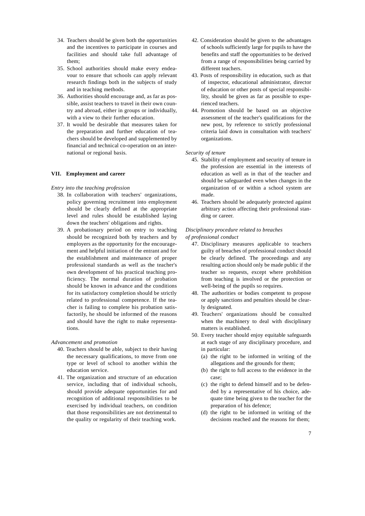- <span id="page-6-0"></span>34. Teachers should be given both the opportunities and the incentives to participate in courses and facilities and should take full advantage of them:
- 35. School authorities should make every endeavour to ensure that schools can apply relevant research findings both in the subjects of study and in teaching methods.
- 36. Authorities should encourage and, as far as possible, assist teachers to travel in their own country and abroad, either in groups or individually, with a view to their further education.
- 37. It would be desirable that measures taken for the preparation and further education of teachers should be developed and supplemented by financial and technical co-operation on an international or regional basis.

# **VII.** Employment and career

*Entry into the teaching profession* 

- 38. In collaboration with teachers' organizations, policy governing recruitment into employment should be clearly defined at the appropriate level and rules should be established laying down the teachers' obligations and rights.
- 39. A probationary period on entry to teaching should be recognized both by teachers and by employers as the opportunity for the encouragement and helpful initiation of the entrant and for the establishment and maintenance of proper professional standards as well as the teacher's own development of his practical teaching proficiency. The normal duration of probation should be known in advance and the conditions for its satisfactory completion should be strictly related to professional competence. If the teacher is failing to complete his probation satisfactorily, he should be informed of the reasons and should have the right to make representations.

#### $Advan cement$  and promotion

- 40. Teachers should be able, subject to their having the necessary qualifications, to move from one type or level of school to another within the education service.
- 41. The organization and structure of an education service, including that of individual schools, should provide adequate opportunities for and recognition of additional responsibilities to be exercised by individual teachers, on condition that those responsibilities are not detrimental to the quality or regularity of their teaching work.
- 42. Consideration should be given to the advantages of schools sufficiently large for pupils to have the benefits and staff the opportunities to be derived from a range of responsibilities being carried by different teachers.
- 43. Posts of responsibility in education, such as that of inspector, educational administrator, director of education or other posts of special responsibility, should be given as far as possible to experienced teachers.
- 44. Promotion should be based on an objective assessment of the teacher's qualifications for the new post, by reference to strictly professional criteria laid down in consultation with teachers' organizations.

#### Security of tenure

- 45. Stability of employment and security of tenure in the profession are essential in the interests of education as well as in that of the teacher and should be safeguarded even when changes in the organization of or within a school system are made.
- 46. Teachers should be adequately protected against arbitrary action affecting their professional standing or career.

# *Disciplinary procedure related to breaches*

# *of pro fessional conduct*

- 47. Disciplinary measures applicable to teachers guilty of breaches of professional conduct should be clearly defined. The proceedings and any resulting action should only be made public if the teacher so requests, except where prohibition from teaching is involved or the protection or well-being of the pupils so requires.
- 48. The authorities or bodies competent to propose or apply sanctions and penalties should be clearly designated.
- 49. Teachers' organizations should be consulted when the machinery to deal with disciplinary matters is established.
- 50. Every teacher should enjoy equitable safeguards at each stage of any disciplinary procedure, and in particular:
	- (a) the right to be informed in writing of the allegations and the grounds for them;
	- (b) the right to full access to the evidence in the case:
	- (c) the right to defend himself and to be defended by a representative of his choice, adequate time being given to the teacher for the preparation of his defence;
	- (d) the right to be informed in writing of the decisions reached and the reasons for them;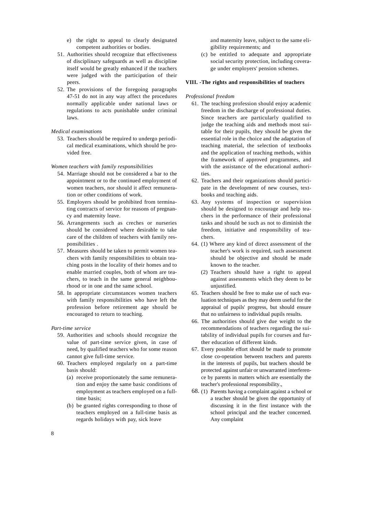- <span id="page-7-0"></span>e) the right to appeal to clearly designated competent authorities or bodies.
- 51. Authorities should recognize that effectiveness of disciplinary safeguards as well as discipline itself would be greatly enhanced if the teachers were judged with the participation of their peers.
- 52. The provisions of the foregoing paragraphs 47-51 do not in any way affect the procedures normally applicable under national laws or regulations to acts punishable under criminal laws.

# *Medical examinations*

53. Teachers should be required to undergo periodical medical examinations, which should be provided free.

# *Women teachers with family responsibilities*

- 54. Marriage should not be considered a bar to the appointment or to the continued employment of women teachers, nor should it affect remuneration or other conditions of work.
- 55. Employers should be prohibited from terminating contracts of service for reasons of pregnancy and maternity leave.
- 56. Arrangements such as creches or nurseries should be considered where desirable to take care of the children of teachers with family responsibilities .
- 57. Measures should be taken to permit women teachers with family responsibilities to obtain teaching posts in the locality of their homes and to enable married couples, both of whom are teachers, to teach in the same general neighbourhood or in one and the same school.
- 58. In appropriate circumstances women teachers with family responsibilities who have left the profession before retirement age should be encouraged to return to teaching.

## Part-time service

- 59. Authorities and schools should recognize the value of part-time service given, in case of need, by qualified teachers who for some reason cannot give full-time service.
- 60. Teachers employed regularly on a part-time basis should:
	- (a) receive proportionately the same remuneration and enjoy the same basic conditions of employment as teachers employed on a fulltime basis;
	- (b) be granted rights corresponding to those of teachers employed on a full-time basis as regards holidays with pay, sick leave

and maternity leave, subject to the same eligibility requirements; and

 $(c)$  be entitled to adequate and appropriate social security protection, including coverage under employers' pension schemes.

# **VIII.** -The rights and responsibilities of teachers

# $Professor$ *Professional freedom*

- 61. The teaching profession should enjoy academic freedom in the discharge of professional duties. Since teachers are particularly qualified to judge the teaching aids and methods most suitable for their pupils, they should be given the essential role in the choice and the adaptation of teaching material, the selection of textbooks and the application of teaching methods, within the framework of approved programmes, and with the assistance of the educational authorities.
- 62. Teachers and their organizations should participate in the development of new courses, textbooks and teaching aids.
- 63. Any systems of inspection or supervision should be designed to encourage and help teachers in the performance of their professional tasks and should be such as not to diminish the freedom, initiative and responsibility of teachers.
- 64. (1) Where any kind of direct assessment of the teacher's work is required, such assessment should be objective and should be made known to the teacher.
	- $(2)$  Teachers should have a right to appeal against assessments which they deem to be uniustified.
- 65. Teachers should be free to make use of such evaluation techniques as they may deem useful for the appraisal of pupils' progress, but should ensure that no unfairness to individual pupils results.
- 66. The authorities should give due weight to the recommendations of teachers regarding the suitability of individual pupils for courses and further education of different kinds.
- 67. Every possible effort should be made to promote close co-operation between teachers and parents in the interests of pupils, but teachers should be protected against unfair or unwarranted interference by parents in matters which are essentially the teacher's professional responsibility.,
- 68. (1) Parents having a complaint against a school or a teacher should be given the opportunity of discussing it in the first instance with the school principal and the teacher concerned. Any complaint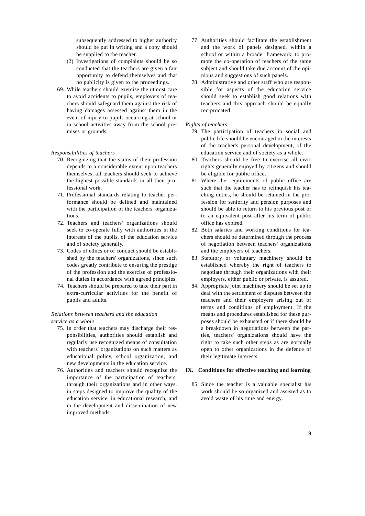<span id="page-8-0"></span>subsequently addressed to higher authority should be put in writing and a copy should be supplied to the teacher.

- $(2)$  Investigations of complaints should be so conducted that the teachers are given a fair opportunity to defend themselves and that no publicity is given to the proceedings.
- 69. While teachers should exercise the utmost care to avoid accidents to pupils, employers of teachers should safeguard them against the risk of having damages assessed against them in the event of injury to pupils occurring at school or in school activities away from the school premises or grounds.

# *Responsibilities of teachers*

- 70. Recognizing that the status of their profession depends to a considerable extent upon teachers themselves, all teachers should seek to achieve the highest possible standards in all their professional work.
- 71. Professional standards relating to teacher performance should be defined and maintained with the participation of the teachers' organizations.
- 72. Teachers and teachers' organizations should seek to co-operate fully with authorities in the interests of the pupils, of the education service and of society generally.
- 73. Codes of ethics or of conduct should be established by the teachers' organizations, since such codes greatly contribute to ensuring the prestige of the profession and the exercise of professional duties in accordance with agreed principles.
- 74. Teachers should be prepared to take their part in extra-curricular activities for the benefit of pupils and adults.

# $R$ *elations between teachers and the education* service as a whole

- 75. In order that teachers may discharge their responsibilities, authorities should establish and regularly use recognized means of consultation with teachers' organizations on such matters as educational policy, school organization, and new developments in the education service.
- 76. Authorities and teachers should recognize the importance of the participation of teachers, through their organizations and in other ways, in steps designed to improve the quality of the education service, in educational research, and in the development and dissemination of new improved methods.
- 77. Authorities should facilitate the establishment and the work of panels designed, within a school or within a broader framework, to promote the co-operation of teachers of the same subject and should take due account of the opinions and suggestions of such panels.
- 78. Administrative and other staff who are responsible for aspects of the education service should seek to establish good relations with teachers and this approach should be equally reciprocated.

# **Rights of teachers**

- 79. The participation of teachers in social and public life should be encouraged in the interests of the teacher's personal development, of the education service and of society as a whole.
- 80. Teachers should be free to exercise all civic rights generally enjoyed by citizens and should be eligible for public office.
- 81. Where the requirements of public office are such that the teacher has to relinquish his teaching duties, he should be retained in the profession for seniority and pension purposes and should be able to return to his previous post or to an equivalent post after his term of public office has expired.
- 82. Both salaries and working conditions for teachers should be determined through the process of negotiation between teachers' organizations and the employers of teachers.
- 83. Statutory or voluntary machinery should be established whereby the right of teachers to negotiate through their organizations with their employers, either public or private, is assured.
- 84. Appropriate joint machinery should be set up to deal with the settlement of disputes between the teachers and their employers arising out of terms and conditions of employment. If the means and procedures established for these purposes should be exhausted or if there should be a breakdown in negotiations between the parties, teachers' organizations should have the right to take such other steps as are normally open to other organizations in the defence of their legitimate interests.

# **IX.** Conditions for effective teaching and learning

85. Since the teacher is a valuable specialist his work should be so organized and assisted as to avoid waste of his time and energy.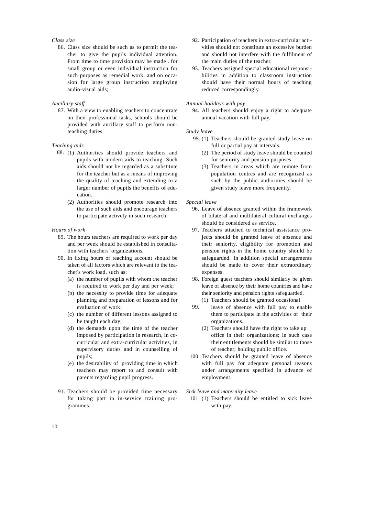# *Class size*

86. Class size should be such as to permit the teacher to give the pupils individual attention. From time to time provision may be made . for small group or even individual instruction for such purposes as remedial work, and on occasion for large group instruction employing audio-visual aids;

# *A n c i l l a ry staff*

87. With a view to enabling teachers to concentrate on their professional tasks, schools should be provided with ancillary staff to perform nonteaching duties.

#### *Te a ching aids*

- 88. (1) Authorities should provide teachers and pupils with modern aids to teaching. Such aids should not be regarded as a substitute for the teacher but as a means of improving the quality of teaching and extending to a larger number of pupils the benefits of education.
	- (2) Authorities should promote research into the use of such aids and encourage teachers to participate actively in such research.

#### *Hours of work*

- 89. The hours teachers are required to work per day and per week should be established in consultation with teachers' organizations.
- 90. In fixing hours of teaching account should be taken of all factors which are relevant to the teacher's work load, such as:
	- (a) the number of pupils with whom the teacher is required to work per day and per week;
	- (b) the necessity to provide time for adequate planning and preparation of lessons and for evaluation of work;
	- (c) the number of different lessons assigned to be taught each day;
	- $(d)$  the demands upon the time of the teacher imposed by participation in research, in cocurricular and extra-curricular activities, in supervisory duties and in counselling of pupils;
	- (e) the desirability of providing time in which teachers may report to and consult with parents regarding pupil progress.
- 91. Teachers should be provided time necessary for taking part in in-service training programmes.
- 92. Participation of teachers in extra-curricular activities should not constitute an excessive burden and should not interfere with the fulfilment of the main duties of the teacher.
- 93. Teachers assigned special educational responsibilities in addition to classroom instruction should have their normal hours of teaching reduced correspondingly.

*A n nual holidays with pay*

94. All teachers should enjoy a right to adequate annual vacation with full pay.

# *Study leave*

- 95. (1) Teachers should be granted study leave on full or partial pay at intervals.
	- (2) The period of study leave should be counted for seniority and pension purposes.
	- $(3)$  Teachers in areas which are remote from population centres and are recognized as such by the public authorities should be given study leave more frequently.

#### *Special leave*

- 96. Leave of absence granted within the framework of bilateral and multilateral cultural exchanges should be considered as service.
- 97. Teachers attached to technical assistance projects should be granted leave of absence and their seniority, eligibility for promotion and pension rights in the home country should be safeguarded. In addition special arrangements should be made to cover their extraordinary expenses.
- 98. Foreign guest teachers should similarly be given leave of absence by their home countries and have their seniority and pension rights safeguarded. (1) Teachers should be granted occasional
- leave of absence with full pay to enable them to participate in the activities of their organizations. 99.
	- (2) Teachers should have the right to take up office in their organizations; in such case their entitlements should be similar to those of teacher; holding public office.
- 100. Teachers should be granted leave of absence with full pay for adequate personal reasons under arrangements specified in advance of employment.

# Sick leave and maternity leave

101. (1) Teachers should be entitled to sick leave with pay.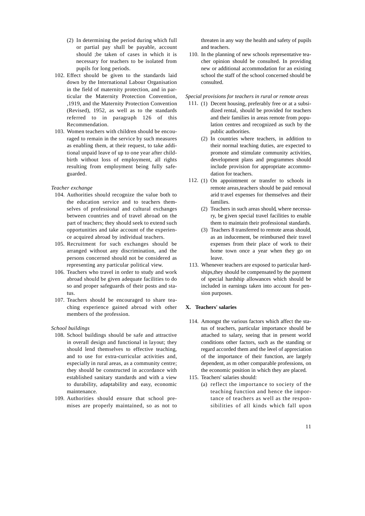- <span id="page-10-0"></span> $(2)$  In determining the period during which full or partial pay shall be payable, account should ;be taken of cases in which it is necessary for teachers to be isolated from pupils for long periods.
- 102. Effect should be given to the standards laid down by the International Labour Organisation in the field of maternity protection, and in particular the Maternity Protection Convention, , 1919, and the Maternity Protection Convention (Revised),  $1952$ , as well as to the standards referred to in paragraph 126 of this Recommendation.
- 103. Women teachers with children should be encouraged to remain in the service by such measures as enabling them, at their request, to take additional unpaid leave of up to one year after childbirth without loss of employment, all rights resulting from employment being fully safeguarded.

#### *Te a cher ex ch a n ge*

- 104. Authorities should recognize the value both to the education service and to teachers themselves of professional and cultural exchanges between countries and of travel abroad on the part of teachers; they should seek to extend such opportunities and take account of the experience acquired abroad by individual teachers.
- 105. Recruitment for such exchanges should be arranged without any discrimination, and the persons concerned should not be considered as representing any particular political view.
- 106. Teachers who travel in order to study and work abroad should be given adequate facilities to do so and proper safeguards of their posts and status.
- 107. Teachers should be encouraged to share teaching experience gained abroad with other members of the profession.

#### *S chool bu i l d i n g s*

- 108. School buildings should be safe and attractive in overall design and functional in layout; they should lend themselves to effective teaching, and to use for extra-curricular activities and, especially in rural areas, as a community centre; they should be constructed in accordance with established sanitary standards and with a view to durability, adaptability and easy, economic maintenance.
- 109. Authorities should ensure that school premises are properly maintained, so as not to

threaten in any way the health and safety of pupils and teachers.

110. In the planning of new schools representative teacher opinion should be consulted. In providing new or additional accommodation for an existing school the staff of the school concerned should be consulted.

*Special provisions for teachers in rural or remote areas*

- 111. (1) Decent housing, preferably free or at a subsidized rental, should be provided for teachers and their families in areas remote from population centres and recognized as such by the public authorities.
	- (2) In countries where teachers, in addition to their normal teaching duties, are expected to promote and stimulate community activities, development plans and programmes should include provision for appropriate accommodation for teachers.
- 112. (1) On appointment or transfer to schools in remote areas,teachers should be paid removal arid tr avel expenses for themselves and their families.
	- (2) Teachers in such areas should, where necessary, be given special travel facilities to enable them to maintain their professional standards.
	- (3) Teachers 8 transferred to remote areas should, as an inducement, be reimbursed their travel expenses from their place of work to their home town once a year when they go on leave.
- 113. Whenever teachers are exposed to particular hardships,they should be compensated by the payment of special hardship allowances which should be included in earnings taken into account for pension purposes.

# **X. Teachers' salaries**

- 114. Amongst the various factors which affect the status of teachers, particular importance should be attached to salary, seeing that in present world conditions other factors, such as the standing or regard accorded them and the level of appreciation of the importance of their function, are largely dependent, as m other comparable professions, on the economic position in which they are placed.
- 115. Teachers' salaries should:
	- (a) re flect the importance to society of the teaching function and hence the importance of teachers as well as the responsibilities of all kinds which fall upon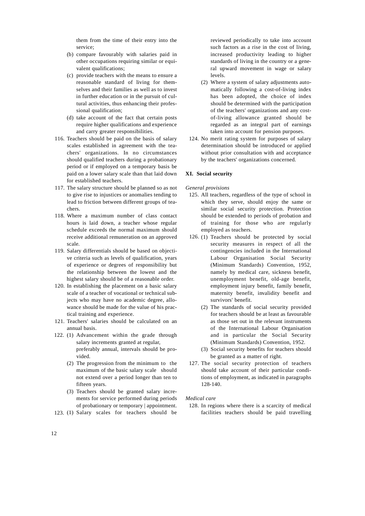them from the time of their entry into the service:

- (b) compare favourably with salaries paid in other occupations requiring similar or equivalent qualifications;
- (c) provide teachers with the means to ensure a reasonable standard of living for themselves and their families as well as to invest in further education or in the pursuit of cultural activities, thus enhancing their professional qualification;
- (d) take account of the fact that certain posts require higher qualifications and experience and carry greater responsibilities.
- 116. Teachers should be paid on the basis of salary scales established in agreement with the teachers' organizations. In no circumstances should qualified teachers during a probationary period or if employed on a temporary basis be paid on a lower salary scale than that laid down for established teachers.
- 117. The salary structure should be planned so as not to give rise to injustices or anomalies tending to lead to friction between different groups of teachers.
- 118. Where a maximum number of class contact hours is laid down, a teacher whose regular s chedule exceeds the normal maximum should receive additional remuneration on an approved scale.
- 119. Salary differentials should be based on objective criteria such as levels of qualification, years of experience or degrees of responsibility but the relationship between the lowest and the highest salary should be of a reasonable order.
- 120. In establishing the placement on a basic salary scale of a teacher of vocational or technical subjects who may have no academic degree, allowance should be made for the value of his practical training and experience.
- 121. Teachers' salaries should be calculated on an annual basis.
- 122. (1) Advancement within the grade through salary increments granted at regular, preferably annual, intervals should be provided.
	- (2) The progression from the minimum to the maximum of the basic salary scale should not extend over a period longer than ten to fifteen years.
	- (3) Teachers should be granted salary increments for service performed during periods of probationary or temporary | appointment.
- 123. (1) Salary scales for teachers should be

reviewed periodically to take into account such factors as a rise in the cost of living, increased productivity leading to higher standards of living in the country or a general upward movement in wage or salary levels.

- $(2)$  Where a system of salary adjustments automatically following a cost-of-living index has been adopted, the choice of index should be determined with the participation of the teachers' organizations and any costof-living allowance granted should be regarded as an integral part of earnings taken into account for pension purposes.
- 124. No merit rating system for purposes of salary determination should be introduced or applied without prior consultation with and acceptance by the teachers' organizations concerned.

# **XI.** Social security

# *General provisions*

- 125. All teachers, regardless of the type of school in which they serve, should enjoy the same or similar social security protection. Protection should be extended to periods of probation and of training for those who are regularly employed as teachers.
- 126. (1) Teachers should be protected by social security measures in respect of all the contingencies included in the International Labour Organisation Social Security (Minimum Standards) Convention, 1952, namely by medical care, sickness benefit, unemployment benefit, old-age benefit, employment injury benefit, family benefit, maternity benefit, invalidity benefit and survivors' benefit.
	- $(2)$  The standards of social security provided for teachers should be at least as favourable as those set out in the relevant instruments of the International Labour Organisation and in particular the Social Security (Minimum Standards) Convention, 1952.
	- $(3)$  Social security benefits for teachers should be granted as a matter of right.
- 127. The social security protection of teachers should take account of their particular conditions of employment, as indicated in paragraphs 1 28 - 140.

# *Medical care*

128. In regions where there is a scarcity of medical facilities teachers should be paid travelling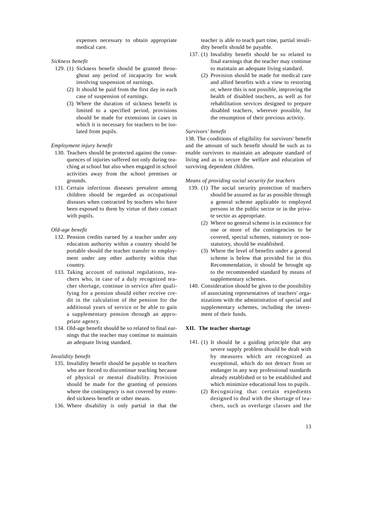expenses necessary to obtain appropriate medical care.

# $Sickness$  benefit

- 129. (1) Sickness benefit should be granted throughout any period of incapacity for work involving suspension of earnings.
	- $(2)$  It should be paid from the first day in each case of suspension of earnings.
	- $(3)$  Where the duration of sickness benefit is limited to a specified period, provisions should be made for extensions in cases in which it is necessary for teachers to be isolated from pupils.

# *E m p l oyment injury benefi t*

- 130. Teachers should be protected against the consequences of injuries suffered not only during teaching at school but also when engaged in school activities away from the school premises or grounds.
- 131. Certain infectious diseases prevalent among children should be regarded as occupational diseases when contracted by teachers who have been exposed to them by virtue of their contact with pupils.

# *O l d - age benefi t*

- 132. Pension credits earned by a teacher under any education authority within a country should be portable should the teacher transfer to employment under any other authority within that country.
- 133. Taking account of national regulations, teachers who, in case of a duly recognized teacher shortage, continue in service after qualifying for a pension should either receive credit in the calculation of the pension for the additional years of service or be able to gain a supplementary pension through an appropriate agency.
- 134. Old-age benefit should be so related to final earnings that the teacher may continue to maintain an adequate living standard.

# *I nvalidity benefi t*

- 135. Invalidity benefit should be payable to teachers who are forced to discontinue teaching because of physical or mental disability. Provision should be made for the granting of pensions where the contingency is not covered by extended sickness benefit or other means.
- 136. Where disability is only partial in that the

teacher is able to teach part time, partial invalidity benefit should be payable.

- 137. (1) Invalidity benefit should be so related to final earnings that the teacher may continue to maintain an adequate living standard.
	- (2) Provision should be made for medical care and allied benefits with a view to restoring or, where this is not possible, improving the health of disabled teachers, as well as for rehabilitation services designed to prepare disabled teachers, wherever possible, for the resumption of their previous activity.

#### *S u rv ivo rs' benefi t*

138. The conditions of eligibility for survivors' benefit and the amount of such benefit should be such as to enable survivors to maintain an adequate standard of living and as to secure the welfare and education of surviving dependent children.

# *Means of providing social security for teachers*

- 139. (1) The social security protection of teachers should be assured as far as possible through a general scheme applicable to employed persons in the public sector or in the private sector as appropriate.
	- (2) Where no general scheme is in existence for one or more of the contingencies to be covered, special schemes, statutory or nonstatutory, should be established.
	- $(3)$  Where the level of benefits under a general scheme is below that provided for in this Recommendation, it should be brought up to the recommended standard by means of supplementary schemes.
- 140. Consideration should be given to the possibility of associating representatives of teachers' organizations with the administration of special and supplementary schemes, including the investment of their funds.

# **XII.** The teacher shortage

- 141.  $(1)$  It should be a guiding principle that any severe supply problem should be dealt with by measures which are recognized as exceptional, which do not detract from or endanger in any way professional standards already established or to be established and which minimize educational loss to pupils.
	- $(2)$  Recognizing that certain expedients designed to deal with the shortage of teachers, such as overlarge classes and the